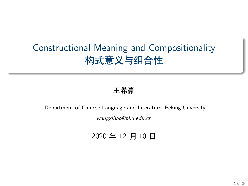## Constructional Meaning and Compositionality 构式意义与组合性

#### 王希豪

#### Department of Chinese Language and Literature, Peking Unversity

*wangxihao@pku.edu.cn*

#### 2020 年 12 月 10 日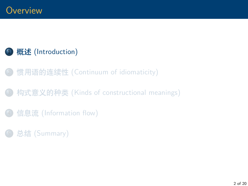### <span id="page-1-0"></span><sup>1</sup> 概述 [\(Introduction\)](#page-1-0)

- <sup>2</sup> 惯用语的连续性 [\(Continuum of idiomaticity\)](#page-14-0)
- <sup>3</sup> 构式意义的种类 [\(Kinds of constructional meanings\)](#page-22-0)
- **信息流 [\(Information flow\)](#page-63-0)**
- <sup>5</sup> 总结 [\(Summary\)](#page-67-0)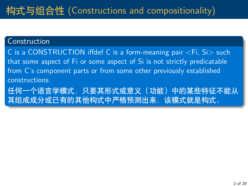#### Construction

C is a CONSTRUCTION iffdef C is a form-meaning pair  $\langle Fi, Si \rangle$  such that some aspect of Fi or some aspect of Si is not strictly predicatable from C's component parts or from some other previously established constructions.

任何一个语言学模式,只要其形式或意义(功能)中的某些特征不能从 其组成成分或已有的其他构式中严格预测出来,该模式就是构式。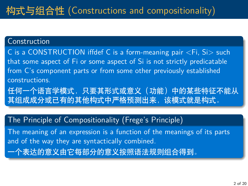#### Construction

C is a CONSTRUCTION iffdef C is a form-meaning pair <Fi, Si> such that some aspect of Fi or some aspect of Si is not strictly predicatable from C's component parts or from some other previously established constructions.

任何一个语言学模式,只要其形式或意义(功能)中的某些特征不能从 其组成成分或已有的其他构式中严格预测出来,该模式就是构式。

#### The Principle of Compositionality (Frege's Principle)

The meaning of an expression is a function of the meanings of its parts and of the way they are syntactically combined. 一个表达的意义由它每部分的意义按照语法规则组合得到。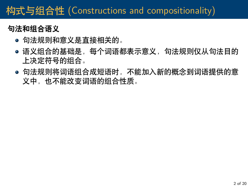# 构式与组合性 (Constructions and compositionality)

### **句法和组合语义**

- 句法规则和意义是直接相关的。
- 语义组合的基础是,每个词语都表示意义,句法规则仅从句法目的 上决定符号的组合。
- 句法规则将词语组合成短语时, 不能加入新的概念到词语提供的意 义中,也不能改变词语的组合性质。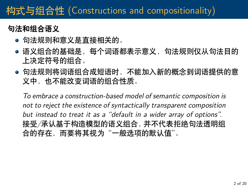# 构式与组合性 (Constructions and compositionality)

### **句法和组合语义**

- 句法规则和意义是直接相关的。
- 语义组合的基础是,每个词语都表示意义,句法规则仅从句法目的 上决定符号的组合。
- 句法规则将词语组合成短语时, 不能加入新的概念到词语提供的意 义中,也不能改变词语的组合性质。

*To embrace a construction-based model of semantic composition is not to reject the existence of syntactically transparent composition but instead to treat it as a "default in a wider array of options".* 接受*/*承认基于构造模型的语义组合,并不代表拒绝句法透明组 合的存在,而要将其视为"一般选项的默认值"。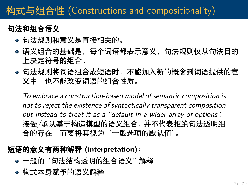# 构式与组合性 (Constructions and compositionality)

### **句法和组合语义**

- 句法规则和意义是直接相关的。
- 语义组合的基础是,每个词语都表示意义,句法规则仅从句法目的 上决定符号的组合。
- 句法规则将词语组合成短语时, 不能加入新的概念到词语提供的意 义中,也不能改变词语的组合性质。

*To embrace a construction-based model of semantic composition is not to reject the existence of syntactically transparent composition but instead to treat it as a "default in a wider array of options".* 接受*/*承认基于构造模型的语义组合,并不代表拒绝句法透明组 合的存在,而要将其视为"一般选项的默认值"。

#### **短语的意义有两种解释 (interpretation):**

- 一般的 "句法结构透明的组合语义" 解释
- 构式本身赋予的语义解释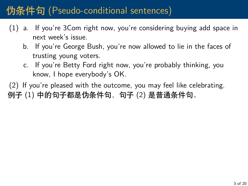- <span id="page-7-0"></span>(1) a. If you're 3Com right now, you're considering buying add space in next week's issue.
	- b. If you're George Bush, you're now allowed to lie in the faces of trusting young voters.
	- c. If you're Betty Ford right now, you're probably thinking, you know, I hope everybody's OK.

<span id="page-7-2"></span><span id="page-7-1"></span>(2) If you're pleased with the outcome, you may feel like celebrating. 例子 ([1](#page-7-0)) 中的句子都是伪条件句, 句子 ([2](#page-7-1)) 是普通条件句。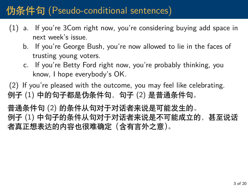- (1) a. If you're 3Com right now, you're considering buying add space in next week's issue.
	- b. If you're George Bush, you're now allowed to lie in the faces of trusting young voters.
	- c. If you're Betty Ford right now, you're probably thinking, you know, I hope everybody's OK.

(2) If you're pleased with the outcome, you may feel like celebrating. 例子 ([1](#page-7-0)) 中的句子都是伪条件句, 句子 ([2](#page-7-1)) 是普通条件句。

普通条件句 [\(2\)](#page-7-1) 的条件从句对于对话者来说是可能发生的。 例子 ([1](#page-7-0)) 中句子的条件从句对于对话者来说是不可能成立的,甚至说话 者真正想表达的内容也很难确定(含有言外之意)。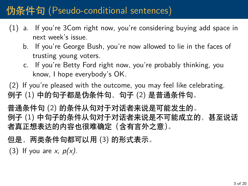- (1) a. If you're 3Com right now, you're considering buying add space in next week's issue.
	- b. If you're George Bush, you're now allowed to lie in the faces of trusting young voters.
	- c. If you're Betty Ford right now, you're probably thinking, you know, I hope everybody's OK.

(2) If you're pleased with the outcome, you may feel like celebrating. 例子 ([1](#page-7-0)) 中的句子都是伪条件句, 句子 ([2](#page-7-1)) 是普通条件句。

普通条件句 [\(2\)](#page-7-1) 的条件从句对于对话者来说是可能发生的。 例子 ([1](#page-7-0)) 中句子的条件从句对于对话者来说是不可能成立的,甚至说话 者真正想表达的内容也很难确定(含有言外之意)。

但是,两类条件句都可以用 ([3](#page-7-2)) 的形式表示。

(3) If you are *x*, *p(x)*.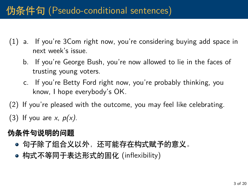- (1) a. If you're 3Com right now, you're considering buying add space in next week's issue.
	- b. If you're George Bush, you're now allowed to lie in the faces of trusting young voters.
	- c. If you're Betty Ford right now, you're probably thinking, you know, I hope everybody's OK.
- (2) If you're pleased with the outcome, you may feel like celebrating.
- (3) If you are *x*, *p(x)*.

#### **伪条件句说明的问题**

- 句子除了组合义以外,还可能存在构式赋予的意义。
- 构式不等同于表达形式的固化 (inflexibility)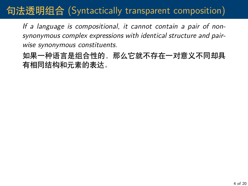### 句法透明组合 (Syntactically transparent composition)

*If a language is compositional, it cannot contain a pair of nonsynonymous complex expressions with identical structure and pairwise synonymous constituents.*

如果一种语言是组合性的,那么它就不存在一对意义不同却具 有相同结构和元素的表达。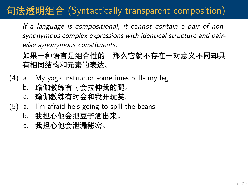# 句法透明组合 (Syntactically transparent composition)

*If a language is compositional, it cannot contain a pair of nonsynonymous complex expressions with identical structure and pairwise synonymous constituents.*

如果一种语言是组合性的,那么它就不存在一对意义不同却具 有相同结构和元素的表达。

- (4) a. My yoga instructor sometimes pulls my leg.
	- b. 瑜伽教练有时会拉伸我的腿。 c. 瑜伽教练有时会和我开玩笑。
- (5) a. I'm afraid he's going to spill the beans.
	- b. 我担心他会把豆子洒出来。
	- c. 我担心他会泄漏秘密。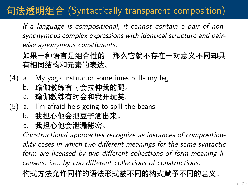## 句法透明组合 (Syntactically transparent composition)

*If a language is compositional, it cannot contain a pair of nonsynonymous complex expressions with identical structure and pairwise synonymous constituents.*

如果一种语言是组合性的,那么它就不存在一对意义不同却具 有相同结构和元素的表达。

- (4) a. My yoga instructor sometimes pulls my leg.
	- b. 瑜伽教练有时会拉伸我的腿。
	- c. 瑜伽教练有时会和我开玩笑。
- (5) a. I'm afraid he's going to spill the beans.
	- b. 我担心他会把豆子洒出来。
	- c. 我担心他会泄漏秘密。

*Constructional approaches recognize as instances of compositionality cases in which two different meanings for the same syntactic form are licensed by two different collections of form-meaning licensers, i.e., by two different collections of constructions.* 构式方法允许同样的语法形式被不同的构式赋予不同的意义。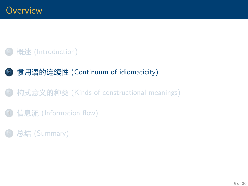### <span id="page-14-0"></span>**概述 [\(Introduction\)](#page-1-0)**

### <sup>2</sup> 惯用语的连续性 [\(Continuum of idiomaticity\)](#page-14-0)

- <sup>3</sup> 构式意义的种类 [\(Kinds of constructional meanings\)](#page-22-0)
- **信息流 [\(Information flow\)](#page-63-0)**
- <sup>5</sup> 总结 [\(Summary\)](#page-67-0)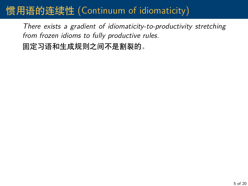### 惯用语的连续性 (Continuum of idiomaticity)

*There exists a gradient of idiomaticity-to-productivity stretching from frozen idioms to fully productive rules.*

固定习语和生成规则之间不是割裂的。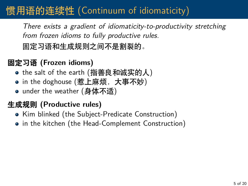## 惯用语的连续性 (Continuum of idiomaticity)

*There exists a gradient of idiomaticity-to-productivity stretching from frozen idioms to fully productive rules.*

固定习语和生成规则之间不是割裂的。

### **固定习语 (Frozen idioms)**

- the salt of the earth (指善良和诚实的人)
- in the doghouse (惹上麻烦,大事不妙)
- under the weather (身体不适)

#### **生成规则 (Productive rules)**

- Kim blinked (the Subject-Predicate Construction)
- in the kitchen (the Head-Complement Construction)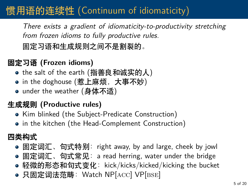# 惯用语的连续性 (Continuum of idiomaticity)

*There exists a gradient of idiomaticity-to-productivity stretching from frozen idioms to fully productive rules.*

固定习语和生成规则之间不是割裂的。

### **固定习语 (Frozen idioms)**

- the salt of the earth (指善良和诚实的人)
- in the doghouse (惹上麻烦,大事不妙)
- under the weather (身体不适)

#### **生成规则 (Productive rules)**

- Kim blinked (the Subject-Predicate Construction)
- in the kitchen (the Head-Complement Construction)

#### **四类构式**

- 固定词汇、句式特别: right away, by and large, cheek by jowl
- 固定词汇、句式常见: a read herring, water under the bridge
- 轻微的形态和句式变化: kick/kicks/kicked/kicking the bucket
- 只固定词法范畴: Watch NP[ACC] VP[BSE]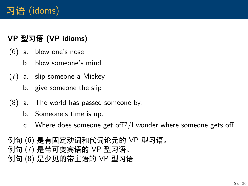#### **VP 型习语 (VP idioms)**

- <span id="page-18-0"></span>(6) a. blow one's nose
	- b. blow someone's mind
- <span id="page-18-1"></span>(7) a. slip someone a Mickey
	- b. give someone the slip
- <span id="page-18-2"></span>(8) a. The world has passed someone by.
	- b. Someone's time is up.
	- c. Where does someone get off?/I wonder where someone gets off.

# 例句 ([6](#page-18-0)) 是有固定动词和代词论元的 VP 型习语。 例句 ([7](#page-18-1)) 是带可变宾语的 VP 型习语。

例句 ([8](#page-18-2)) 是少见的带主语的 VP 型习语。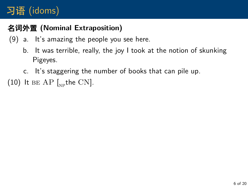### **名词外置 (Nominal Extraposition)**

- (9) a. It's amazing the people you see here.
	- b. It was terrible, really, the joy I took at the notion of skunking Pigeyes.
	- c. It's staggering the number of books that can pile up.

(10) It  $BE AP$  [ $_{NP}$ the CN].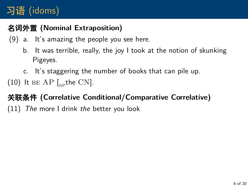### **名词外置 (Nominal Extraposition)**

- (9) a. It's amazing the people you see here.
	- b. It was terrible, really, the joy I took at the notion of skunking Pigeyes.
	- c. It's staggering the number of books that can pile up.
- (10) It  $BE AP$  [ $_{NP}$ the CN].

### **关联条件 (Correlative Conditional/Comparative Correlative)**

(11) *The* more I drink *the* better you look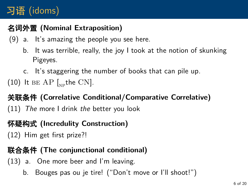### **名词外置 (Nominal Extraposition)**

- (9) a. It's amazing the people you see here.
	- b. It was terrible, really, the joy I took at the notion of skunking Pigeyes.
	- c. It's staggering the number of books that can pile up.
- (10) It  $BE AP$  [ $_{NP}$ the CN].

**关联条件 (Correlative Conditional/Comparative Correlative)** (11) *The* more I drink *the* better you look

### **怀疑构式 (Incredulity Construction)**

(12) Him get first prize?!

#### **联合条件 (The conjunctional conditional)**

(13) a. One more beer and I'm leaving.

b. Bouges pas ou je tire! ("Don't move or I'll shoot!")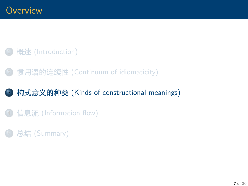### <span id="page-22-0"></span>概述 [\(Introduction\)](#page-1-0)

### <sup>2</sup> 惯用语的连续性 [\(Continuum of idiomaticity\)](#page-14-0)

### <sup>3</sup> 构式意义的种类 [\(Kinds of constructional meanings\)](#page-22-0)

#### **信息流 [\(Information flow\)](#page-63-0)**

### <sup>5</sup> 总结 [\(Summary\)](#page-67-0)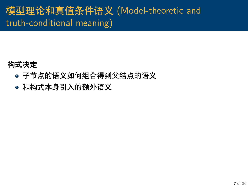# 模型理论和真值条件语义 (Model-theoretic and truth-conditional meaning)

### **构式决定**

- 子节点的语义如何组合得到父结点的语义
- 和构式本身引入的额外语义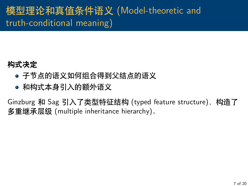# 模型理论和真值条件语义 (Model-theoretic and truth-conditional meaning)

### **构式决定**

- 子节点的语义如何组合得到父结点的语义
- 和构式本身引入的额外语义

Ginzburg 和 Sag 引入了类型特征结构 (typed feature structure), 构造了 多重继承层级 (multiple inheritance hierarchy)。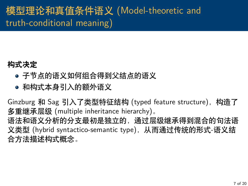# 模型理论和真值条件语义 (Model-theoretic and truth-conditional meaning)

### **构式决定**

- 子节点的语义如何组合得到父结点的语义
- 和构式本身引入的额外语义

Ginzburg 和 Sag 引入了类型特征结构 (typed feature structure),构造了 多重继承层级 (multiple inheritance hierarchy)。 语法和语义分析的分支最初是独立的,通过层级继承得到混合的句法语 义类型 (hybrid syntactico-semantic type), 从而通过传统的形式-语义结 合方法描述构式概念。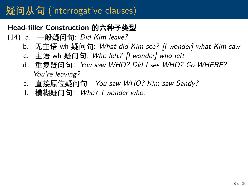#### **Head-filler Construction 的六种子类型**

- (14) a. 一般疑问句: *Did Kim leave?*
	- b. 无主语 wh 疑问句: *What did Kim see? [I wonder] what Kim saw*
	- c. 主语 wh 疑问句: *Who left? [I wonder] who left*
	- d. 重复疑问句:*You saw WHO? Did I see WHO? Go WHERE? You're leaving?*
	- e. 直接原位疑问句:*You saw WHO? Kim saw Sandy?*
	- f. 模糊疑问句:*Who? I wonder who.*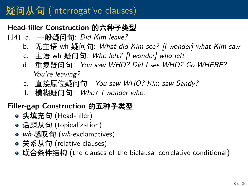#### **Head-filler Construction 的六种子类型**

- (14) a. 一般疑问句: *Did Kim leave?*
	- b. 无主语 wh 疑问句: *What did Kim see? [I wonder] what Kim saw*
	- c. 主语 wh 疑问句: *Who left? [I wonder] who left*
	- d. 重复疑问句:*You saw WHO? Did I see WHO? Go WHERE? You're leaving?*
	- e. 直接原位疑问句:*You saw WHO? Kim saw Sandy?*
	- f. 模糊疑问句:*Who? I wonder who.*

#### **Filler-gap Construction 的五种子类型**

- 头填充句 (Head-filler)
- 话题从句 (topicalization)
- *wh*-感叹句 (*wh*-exclamatives)
- 关系从句 (relative clauses)
- 联合条件结构 (the clauses of the biclausal correlative conditional)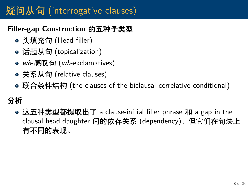#### **Filler-gap Construction 的五种子类型**

- 头填充句 (Head-filler)
- 话题从句 (topicalization)
- *wh*-感叹句 (*wh*-exclamatives)
- 关系从句 (relative clauses)
- 联合条件结构 (the clauses of the biclausal correlative conditional)

### **分析**

这五种类型都提取出了 a clause-initial filler phrase 和 a gap in the clausal head daughter 间的依存关系 (dependency),但它们在句法上 有不同的表现。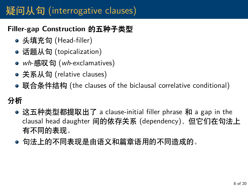#### **Filler-gap Construction 的五种子类型**

- 头填充句 (Head-filler)
- 话题从句 (topicalization)
- *wh*-感叹句 (*wh*-exclamatives)
- 关系从句 (relative clauses)
- 联合条件结构 (the clauses of the biclausal correlative conditional)

### **分析**

- 这五种类型都提取出了 a clause-initial filler phrase 和 a gap in the clausal head daughter 间的依存关系 (dependency),但它们在句法上 有不同的表现。
- 句法上的不同表现是由语义和篇章语用的不同造成的。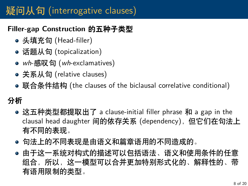#### **Filler-gap Construction 的五种子类型**

- 头填充句 (Head-filler)
- 话题从句 (topicalization)
- *wh*-感叹句 (*wh*-exclamatives)
- 关系从句 (relative clauses)
- 联合条件结构 (the clauses of the biclausal correlative conditional)

### **分析**

- 这五种类型都提取出了 a clause-initial filler phrase 和 a gap in the clausal head daughter 间的依存关系 (dependency),但它们在句法上 有不同的表现。
- 句法上的不同表现是由语义和篇章语用的不同造成的。
- 由于这一系统对构式的描述可以包括语法、语义和使用条件的任意 组合,所以,这一模型可以合并更加特别形式化的、解释性的、带 有语用限制的类型。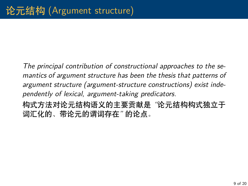*The principal contribution of constructional approaches to the semantics of argument structure has been the thesis that patterns of argument structure (argument-structure constructions) exist independently of lexical, argument-taking predicators.*

构式方法对论元结构语义的主要贡献是 *"*论元结构构式独立于 词汇化的、带论元的谓词存在*"* 的论点。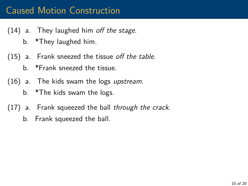- <span id="page-32-0"></span>(14) a. They laughed him *off the stage*.
	- b. \*They laughed him.
- <span id="page-32-1"></span>(15) a. Frank sneezed the tissue *off the table*.
	- b. \*Frank sneezed the tissue.
- <span id="page-32-2"></span>(16) a. The kids swam the logs *upstream*.
	- b. \*The kids swam the logs.
- <span id="page-32-3"></span>(17) a. Frank squeezed the ball *through the crack*.
	- b. Frank squeezed the ball.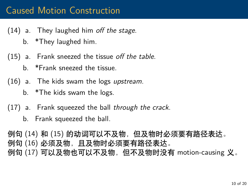- (14) a. They laughed him *off the stage*.
	- b. \*They laughed him.
- (15) a. Frank sneezed the tissue *off the table*.
	- b. \*Frank sneezed the tissue.
- (16) a. The kids swam the logs *upstream*.
	- b. \*The kids swam the logs.
- (17) a. Frank squeezed the ball *through the crack*.
	- b. Frank squeezed the ball.

例句 ([14\)](#page-32-0) 和 [\(15](#page-32-1)) 的动词可以不及物,但及物时必须要有路径表达。 例句 ([16\)](#page-32-2) 必须及物,且及物时必须要有路径表达。 例句 ([17\)](#page-32-3) 可以及物也可以不及物,但不及物时没有 motion-causing 义。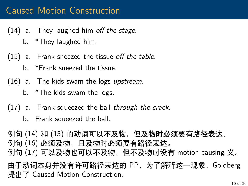- (14) a. They laughed him *off the stage*.
	- b. \*They laughed him.
- (15) a. Frank sneezed the tissue *off the table*.
	- b. \*Frank sneezed the tissue.
- (16) a. The kids swam the logs *upstream*.
	- b. \*The kids swam the logs.
- (17) a. Frank squeezed the ball *through the crack*.
	- b. Frank squeezed the ball.

例句 ([14\)](#page-32-0) 和 [\(15](#page-32-1)) 的动词可以不及物,但及物时必须要有路径表达。 例句 ([16\)](#page-32-2) 必须及物,且及物时必须要有路径表达。 例句 ([17\)](#page-32-3) 可以及物也可以不及物,但不及物时没有 motion-causing 义。 由于动词本身并没有许可路径表达的 PP,为了解释这一现象,Goldberg 提出了 Caused Motion Construction。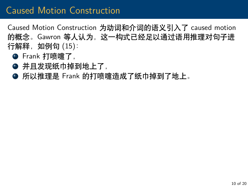Caused Motion Construction 为动词和介词的语义引入了 caused motion 的概念。Gawron 等人认为,这一构式已经足以通过语用推理对句子进 行解释, 如例句 [\(15](#page-32-1)):

- **①** Frank 打喷嚏了,
- 并且发现纸巾掉到地上了,
- 所以推理是 Frank 的打喷嚏造成了纸巾掉到了地上。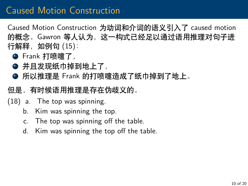Caused Motion Construction 为动词和介词的语义引入了 caused motion 的概念。Gawron 等人认为,这一构式已经足以通过语用推理对句子进 行解释, 如例句 [\(15](#page-32-1)):

- **①** Frank 打喷嚏了,
- 并且发现纸巾掉到地上了,
- **◎** 所以推理是 Frank 的打喷嚏造成了纸巾掉到了地上。
- 但是,有时候语用推理是存在伪歧义的。
- (18) a. The top was spinning.
	- b. Kim was spinning the top.
	- c. The top was spinning off the table.
	- d. Kim was spinning the top off the table.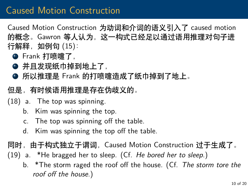Caused Motion Construction 为动词和介词的语义引入了 caused motion 的概念。Gawron 等人认为,这一构式已经足以通过语用推理对句子进 行解释, 如例句 [\(15](#page-32-1)):

- **①** Frank 打喷嚏了,
- 并且发现纸巾掉到地上了,
- 所以推理是 Frank 的打喷嚏造成了纸巾掉到了地上。
- 但是,有时候语用推理是存在伪歧义的。
- (18) a. The top was spinning.
	- b. Kim was spinning the top.
	- c. The top was spinning off the table.
	- d. Kim was spinning the top off the table.

同时,由于构式独立于谓词,Caused Motion Construction 过于生成了。

- (19) a. \*He bragged her to sleep. (Cf. *He bored her to sleep.*)
	- b. \*The storm raged the roof off the house. (Cf. *The storm tore the roof off the house.*)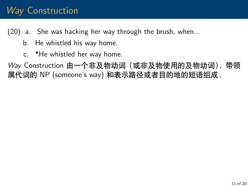### *Way* Construction

(20) a. She was hacking her way through the brush, when...

- b. He whistled his way home.
- c. \*He whistled her way home.

<span id="page-38-0"></span>*Way* Construction 由一个非及物动词(或非及物使用的及物动词)、带领 属代词的 NP (someone's way) 和表示路径或者目的地的短语组成。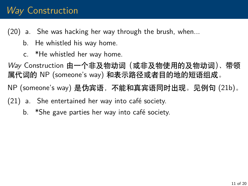### *Way* Construction

(20) a. She was hacking her way through the brush, when...

- b. He whistled his way home.
- c. \*He whistled her way home.

*Way* Construction 由一个非及物动词(或非及物使用的及物动词)、带领 属代词的 NP (someone's way) 和表示路径或者目的地的短语组成。

NP (someone's way) 是伪宾语,不能和真宾语同时出现。见例句 ([21](#page-38-0)b)。

- (21) a. She entertained her way into café society.
	- b. \*She gave parties her way into café society.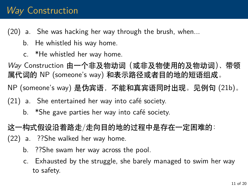### *Way* Construction

(20) a. She was hacking her way through the brush, when...

- b. He whistled his way home.
- c. \*He whistled her way home.

*Way* Construction 由一个非及物动词(或非及物使用的及物动词)、带领 属代词的 NP (someone's way) 和表示路径或者目的地的短语组成。

NP (someone's way) 是伪宾语,不能和真宾语同时出现。见例句 ([21](#page-38-0)b)。

- (21) a. She entertained her way into café society.
	- b. \*She gave parties her way into café society.

这一构式假设沿着路走/走向目的地的过程中是存在一定困难的:

- (22) a. ??She walked her way home.
	- b. ??She swam her way across the pool.
	- c. Exhausted by the struggle, she barely managed to swim her way to safety.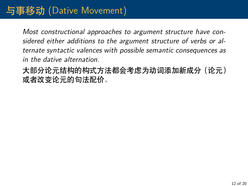# 与事移动 (Dative Movement)

*Most constructional approaches to argument structure have considered either additions to the argument structure of verbs or alternate syntactic valences with possible semantic consequences as in the dative alternation.*

大部分论元结构的构式方法都会考虑为动词添加新成分(论元) 或者改变论元的句法配价。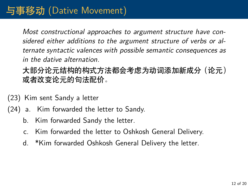*Most constructional approaches to argument structure have considered either additions to the argument structure of verbs or alternate syntactic valences with possible semantic consequences as in the dative alternation.*

大部分论元结构的构式方法都会考虑为动词添加新成分(论元) 或者改变论元的句法配价。

- (23) Kim sent Sandy a letter
- (24) a. Kim forwarded the letter to Sandy.
	- b. Kim forwarded Sandy the letter.
	- c. Kim forwarded the letter to Oshkosh General Delivery.
	- d. \*Kim forwarded Oshkosh General Delivery the letter.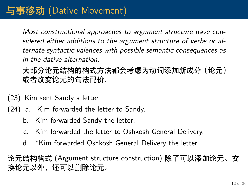*Most constructional approaches to argument structure have considered either additions to the argument structure of verbs or alternate syntactic valences with possible semantic consequences as in the dative alternation.*

大部分论元结构的构式方法都会考虑为动词添加新成分(论元) 或者改变论元的句法配价。

- (23) Kim sent Sandy a letter
- (24) a. Kim forwarded the letter to Sandy.
	- b. Kim forwarded Sandy the letter.
	- c. Kim forwarded the letter to Oshkosh General Delivery.
	- d. \*Kim forwarded Oshkosh General Delivery the letter.

论元结构构式 (Argument structure construction) 除了可以添加论元、交 换论元以外,还可以删除论元。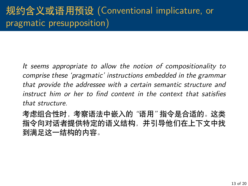*It seems appropriate to allow the notion of compositionality to comprise these 'pragmatic' instructions embedded in the grammar that provide the addressee with a certain semantic structure and instruct him or her to find content in the context that satisfies that structure.*

考虑组合性时,考察语法中嵌入的 *"*语用*"* 指令是合适的。这类 指令向对话者提供特定的语义结构,并引导他们在上下文中找 到满足这一结构的内容。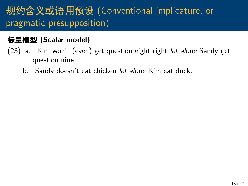# 规约含义或语用预设 (Conventional implicature, or pragmatic presupposition)

#### **标量模型 (Scalar model)**

- (23) a. Kim won't (even) get question eight right *let alone* Sandy get question nine.
	- b. Sandy doesn't eat chicken *let alone* Kim eat duck.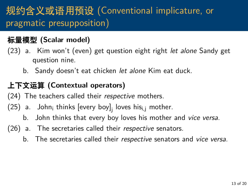# 规约含义或语用预设 (Conventional implicature, or pragmatic presupposition)

#### **标量模型 (Scalar model)**

- (23) a. Kim won't (even) get question eight right *let alone* Sandy get question nine.
	- b. Sandy doesn't eat chicken *let alone* Kim eat duck.

#### **上下文运算 (Contextual operators)**

- (24) The teachers called their *respective* mothers.
- (25)  $\,$ a. $\,$  John $_{\rm i}$  thinks [every boy] $_{\rm j}$  loves his $_{\rm i,j}$  mother.
	- b. John thinks that every boy loves his mother and *vice versa*.
- (26) a. The secretaries called their *respective* senators.
	- b. The secretaries called their *respective* senators and *vice versa*.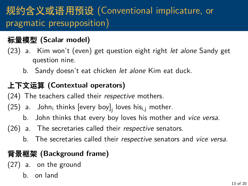# 规约含义或语用预设 (Conventional implicature, or pragmatic presupposition)

#### **标量模型 (Scalar model)**

- (23) a. Kim won't (even) get question eight right *let alone* Sandy get question nine.
	- b. Sandy doesn't eat chicken *let alone* Kim eat duck.

#### **上下文运算 (Contextual operators)**

(24) The teachers called their *respective* mothers.

- (25)  $\,$ a. $\,$  John $_{\rm i}$  thinks [every boy] $_{\rm j}$  loves his $_{\rm i,j}$  mother.
	- b. John thinks that every boy loves his mother and *vice versa*.
- (26) a. The secretaries called their *respective* senators.
	- b. The secretaries called their *respective* senators and *vice versa*.

#### **背景框架 (Background frame)**

- (27) a. on the ground
	- b. on land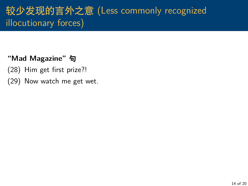# 较少发现的言外之意 (Less commonly recognized illocutionary forces)

#### **"Mad Magazine" 句**

- (28) Him get first prize?!
- (29) Now watch me get wet.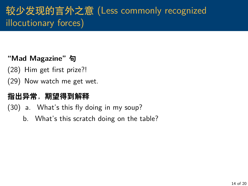# 较少发现的言外之意 (Less commonly recognized illocutionary forces)

#### **"Mad Magazine" 句**

- (28) Him get first prize?!
- (29) Now watch me get wet.

#### **指出异常,期望得到解释**

(30) a. What's this fly doing in my soup?

b. What's this scratch doing on the table?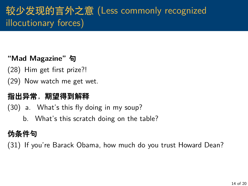# 较少发现的言外之意 (Less commonly recognized illocutionary forces)

#### **"Mad Magazine" 句**

- (28) Him get first prize?!
- (29) Now watch me get wet.

#### **指出异常,期望得到解释**

(30) a. What's this fly doing in my soup?

b. What's this scratch doing on the table?

### **伪条件句**

(31) If you're Barack Obama, how much do you trust Howard Dean?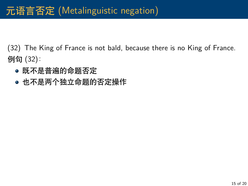## 元语言否定 (Metalinguistic negation)

(32) The King of France is not bald, because there is no King of France. 例句 (32):

- 既不是普遍的命题否定
- 也不是两个独立命题的否定操作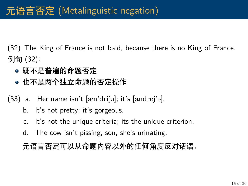(32) The King of France is not bald, because there is no King of France. 例句 (32):

- 既不是普遍的命题否定
- 也不是两个独立命题的否定操作
- $(33)$  a. Her name isn't  $[\text{sen'drijə}]$ ; it's  $[\text{andrei'ə}]$ .
	- b. It's not pretty; it's gorgeous.
	- c. It's not the unique criteria; its the unique criterion.
	- d. The cow isn't pissing, son, she's urinating.

元语言否定可以从命题内容以外的任何角度反对话语。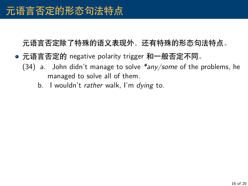- 元语言否定的 negative polarity trigger 和一般否定不同。
	- (34) a. John didn't manage to solve *\*any/some* of the problems, he managed to solve all of them.
		- b. I wouldn't *rather* walk, I'm *dying* to.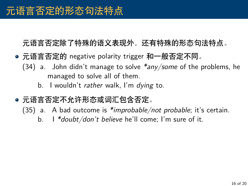- 元语言否定的 negative polarity trigger 和一般否定不同。
	- (34) a. John didn't manage to solve *\*any/some* of the problems, he managed to solve all of them.
		- b. I wouldn't *rather* walk, I'm *dying* to.
- 元语言否定不允许形态或词汇包含否定。
	- (35) a. A bad outcome is *\*improbable/not probable*; it's certain.
		- b. I *\*doubt/don't believe* he'll come; I'm sure of it.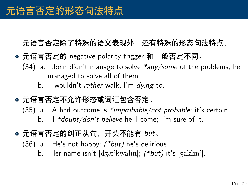- 元语言否定的 negative polarity trigger 和一般否定不同。
	- (34) a. John didn't manage to solve *\*any/some* of the problems, he managed to solve all of them.
		- b. I wouldn't *rather* walk, I'm *dying* to.
- 元语言否定不允许形态或词汇包含否定。
	- (35) a. A bad outcome is *\*improbable/not probable*; it's certain. b. I *\*doubt/don't believe* he'll come; I'm sure of it.
- 元语言否定的纠正从句,开头不能有 *but*。
	- (36) a. He's not happy; *(\*but)* he's delirious.
		- b. Her name isn't [dzæ'kwalm]; *(\*but)* it's [zaklin'].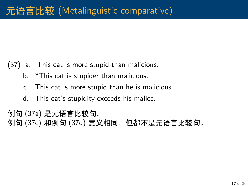- (37) a. This cat is more stupid than malicious.
	- b. \*This cat is stupider than malicious.
	- c. This cat is more stupid than he is malicious.
	- d. This cat's stupidity exceeds his malice.

例句 (37a) 是元语言比较句。 例句 (37c) 和例句 (37d) 意义相同,但都不是元语言比较句。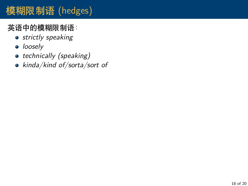### 英语中的模糊限制语:

- *strictly speaking*
- *loosely*
- *technically (speaking)*
- *kinda/kind of/sorta/sort of*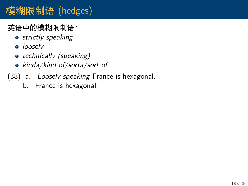### 英语中的模糊限制语:

- *strictly speaking*
- *loosely*
- *technically (speaking)*
- *kinda/kind of/sorta/sort of*
- (38) a. *Loosely speaking* France is hexagonal.
	- b. France is hexagonal.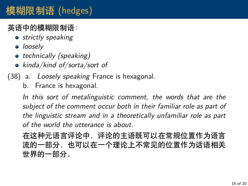### 英语中的模糊限制语:

- *strictly speaking*
- *loosely*
- *technically (speaking)*
- *kinda/kind of/sorta/sort of*
- (38) a. *Loosely speaking* France is hexagonal.
	- b. France is hexagonal.

*In this sort of metalinguistic comment, the words that are the subject of the comment occur both in their familiar role as part of the linguistic stream and in a theoretically unfamiliar role as part of the world the utterance is about.*

在这种元语言评论中,评论的主语既可以在常规位置作为语言 流的一部分,也可以在一个理论上不常见的位置作为话语相关 世界的一部分。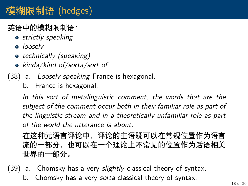### 英语中的模糊限制语:

- *strictly speaking*
- *loosely*
- *technically (speaking)*
- *kinda/kind of/sorta/sort of*
- (38) a. *Loosely speaking* France is hexagonal.
	- b. France is hexagonal.

*In this sort of metalinguistic comment, the words that are the subject of the comment occur both in their familiar role as part of the linguistic stream and in a theoretically unfamiliar role as part of the world the utterance is about.*

在这种元语言评论中,评论的主语既可以在常规位置作为语言 流的一部分,也可以在一个理论上不常见的位置作为话语相关 世界的一部分。

(39) a. Chomsky has a very *slightly* classical theory of syntax. b. Chomsky has a very *sorta* classical theory of syntax.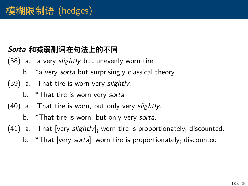#### *Sorta* **和减弱副词在句法上的不同**

- (38) a. a very *slightly* but unevenly worn tire
	- b. \*a very *sorta* but surprisingly classical theory
- (39) a. That tire is worn very *slightly*.
	- b. \*That tire is worn very *sorta*.
- (40) a. That tire is worn, but only very *slightly*.
	- b. \*That tire is worn, but only very *sorta*.
- (41) a. That [very *slightly*]<sub>i</sub> worn tire is proportionately<sub>i</sub> discounted.
	- b. \*That [very *sorta*], worn tire is proportionately<sub>i</sub> discounted.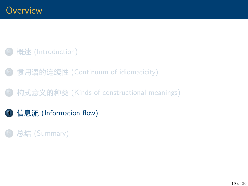### <span id="page-63-0"></span>概述 [\(Introduction\)](#page-1-0)

- <sup>2</sup> 惯用语的连续性 [\(Continuum of idiomaticity\)](#page-14-0)
- <sup>3</sup> 构式意义的种类 [\(Kinds of constructional meanings\)](#page-22-0)
- <sup>4</sup> 信息流 [\(Information flow\)](#page-63-0)

### <sup>5</sup> 总结 [\(Summary\)](#page-67-0)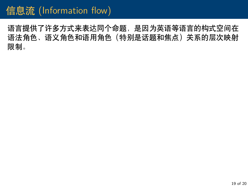# 信息流 (Information flow)

语言提供了许多方式来表达同个命题,是因为英语等语言的构式空间在 语法角色、语义角色和语用角色(特别是话题和焦点)关系的层次映射 限制。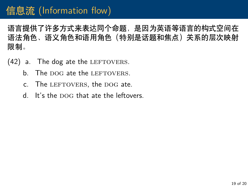语言提供了许多方式来表达同个命题,是因为英语等语言的构式空间在 语法角色、语义角色和语用角色(特别是话题和焦点)关系的层次映射 限制。

- $(42)$  a. The dog ate the LEFTOVERS.
	- b. The DOG ate the LEFTOVERS.
	- c. The LEFTOVERS, the DOG ate.
	- $d$  It's the DOG that ate the leftovers.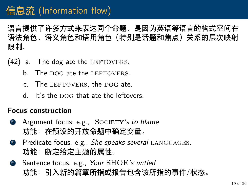语言提供了许多方式来表达同个命题,是因为英语等语言的构式空间在 语法角色、语义角色和语用角色(特别是话题和焦点)关系的层次映射 限制。

- $(42)$  a. The dog ate the LEFTOVERS.
	- b. The DOG ate the LEFTOVERS.
	- c. The LEFTOVERS, the DOG ate.
	- $d$  It's the DOG that ate the leftovers.

#### **Focus construction**

- **a** Argument focus, e.g., SOCIETY's to blame 功能:在预设的开放命题中确定变量。
- <sup>b</sup> Predicate focus, e.g., *She speaks several* languages*.* 功能:断定给定主题的属性。
- <sup>c</sup> Sentence focus, e.g., *Your* SHOE*'s untied* 功能:引入新的篇章所指或报告包含该所指的事件/状态。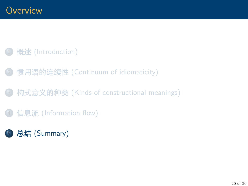### <span id="page-67-0"></span>概述 [\(Introduction\)](#page-1-0)

- <sup>2</sup> 惯用语的连续性 [\(Continuum of idiomaticity\)](#page-14-0)
- <sup>3</sup> 构式意义的种类 [\(Kinds of constructional meanings\)](#page-22-0)
- 信息流 [\(Information flow\)](#page-63-0)
- <sup>5</sup> 总结 [\(Summary\)](#page-67-0)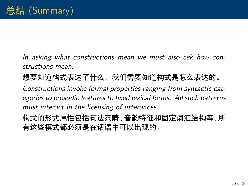*In asking what constructions mean we must also ask how constructions mean.*

想要知道构式表达了什么,我们需要知道构式是怎么表达的。

*Constructions invoke formal properties ranging from syntactic categories to prosodic features to fixed lexical forms. All such patterns must interact in the licensing of utterances.*

构式的形式属性包括句法范畴、音韵特征和固定词汇结构等。所 有这些模式都必须是在话语中可以出现的。